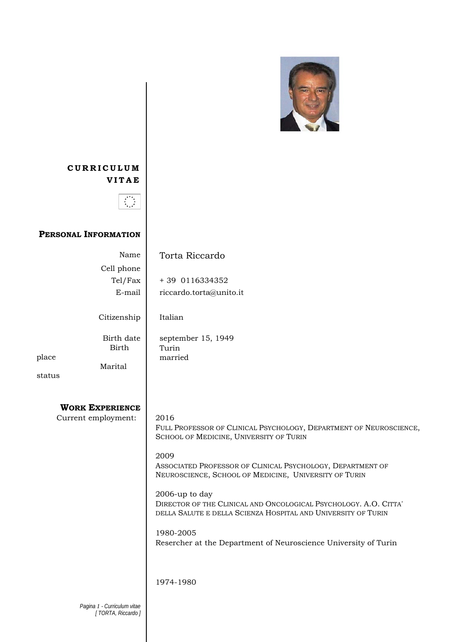

# **CURRICULUM VITAE**



## **PERSONAL INFORMATION**

|                     | Name                                             | Torta Riccardo                                                                                                                                      |
|---------------------|--------------------------------------------------|-----------------------------------------------------------------------------------------------------------------------------------------------------|
|                     | Cell phone                                       |                                                                                                                                                     |
|                     | Tel/Fax                                          | + 39 0116334352                                                                                                                                     |
|                     | E-mail                                           | riccardo.torta@unito.it                                                                                                                             |
|                     |                                                  |                                                                                                                                                     |
|                     | Citizenship                                      | Italian                                                                                                                                             |
|                     | Birth date                                       | september 15, 1949                                                                                                                                  |
|                     | <b>Birth</b>                                     | Turin                                                                                                                                               |
| place               |                                                  | married                                                                                                                                             |
|                     | Marital                                          |                                                                                                                                                     |
| status              |                                                  |                                                                                                                                                     |
|                     |                                                  |                                                                                                                                                     |
|                     | <b>WORK EXPERIENCE</b>                           |                                                                                                                                                     |
| Current employment: |                                                  | 2016                                                                                                                                                |
|                     |                                                  | FULL PROFESSOR OF CLINICAL PSYCHOLOGY, DEPARTMENT OF NEUROSCIENCE,<br>SCHOOL OF MEDICINE, UNIVERSITY OF TURIN                                       |
|                     |                                                  | 2009                                                                                                                                                |
|                     |                                                  | ASSOCIATED PROFESSOR OF CLINICAL PSYCHOLOGY, DEPARTMENT OF<br>NEUROSCIENCE, SCHOOL OF MEDICINE, UNIVERSITY OF TURIN                                 |
|                     |                                                  |                                                                                                                                                     |
|                     |                                                  | 2006-up to day<br>DIRECTOR OF THE CLINICAL AND ONCOLOGICAL PSYCHOLOGY. A.O. CITTA'<br>DELLA SALUTE E DELLA SCIENZA HOSPITAL AND UNIVERSITY OF TURIN |
|                     |                                                  | 1980-2005                                                                                                                                           |
|                     |                                                  | Resercher at the Department of Neuroscience University of Turin                                                                                     |
|                     |                                                  |                                                                                                                                                     |
|                     |                                                  | 1974-1980                                                                                                                                           |
|                     |                                                  |                                                                                                                                                     |
|                     | Pagina 1 - Curriculum vitae<br>[TORTA, Riccardo] |                                                                                                                                                     |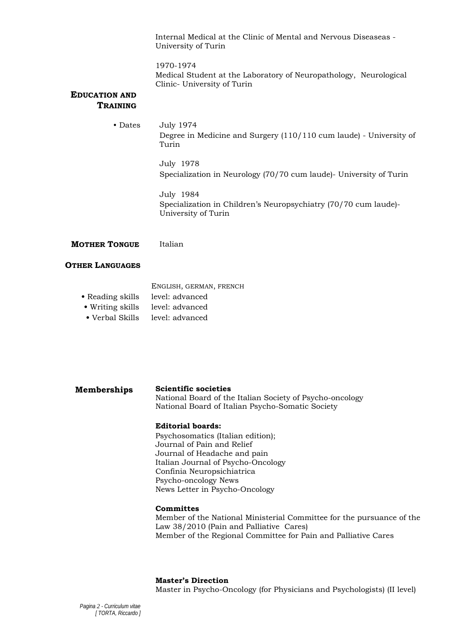Internal Medical at the Clinic of Mental and Nervous Diseaseas - University of Turin

1970-1974 Medical Student at the Laboratory of Neuropathology, Neurological Clinic- University of Turin

### **EDUCATION AND TRAINING**

• Dates July 1974 Degree in Medicine and Surgery (110/110 cum laude) - University of Turin

> July 1978 Specialization in Neurology (70/70 cum laude)- University of Turin

July 1984 Specialization in Children's Neuropsychiatry (70/70 cum laude)- University of Turin

**MOTHER TONGUE** Italian

### **OTHER LANGUAGES**

- ENGLISH, GERMAN, FRENCH
- Reading skills level: advanced
- Writing skills level: advanced
- Verbal Skills level: advanced

## **Memberships Scientific societies**

National Board of the Italian Society of Psycho-oncology National Board of Italian Psycho-Somatic Society

### **Editorial boards:**

Psychosomatics (Italian edition); Journal of Pain and Relief Journal of Headache and pain Italian Journal of Psycho-Oncology Confinia Neuropsichiatrica Psycho-oncology News News Letter in Psycho-Oncology

### **Committes**

Member of the National Ministerial Committee for the pursuance of the Law 38/2010 (Pain and Palliative Cares) Member of the Regional Committee for Pain and Palliative Cares

**Master's Direction** 

Master in Psycho-Oncology (for Physicians and Psychologists) (II level)